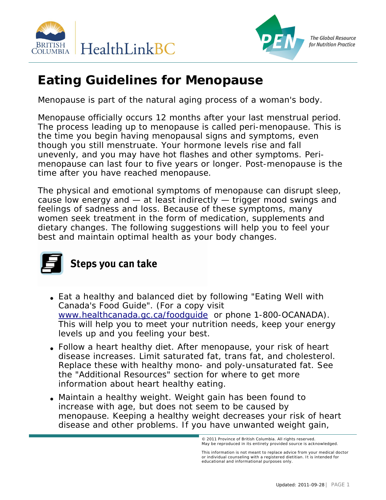



**The Global Resource** for Nutrition Practice

## **Eating Guidelines for Menopause**

Menopause is part of the natural aging process of a woman's body.

Menopause officially occurs 12 months after your last menstrual period. The process leading up to menopause is called peri-menopause. This is the time you begin having menopausal signs and symptoms, even though you still menstruate. Your hormone levels rise and fall unevenly, and you may have hot flashes and other symptoms. Perimenopause can last four to five years or longer. Post-menopause is the time after you have reached menopause.

The physical and emotional symptoms of menopause can disrupt sleep, cause low energy and — at least indirectly — trigger mood swings and feelings of sadness and loss. Because of these symptoms, many women seek treatment in the form of medication, supplements and dietary changes. The following suggestions will help you to feel your best and maintain optimal health as your body changes.



## Steps you can take

- Eat a healthy and balanced diet by following "Eating Well with Canada's Food Guide". (For a copy visit . [www.healthcanada.gc.ca/foodguide](http://www.healthcanada.gc.ca/foodguide) or phone 1-800-OCANADA). This will help you to meet your nutrition needs, keep your energy levels up and you feeling your best.
- Follow a heart healthy diet. After menopause, your risk of heart disease increases. Limit saturated fat, trans fat, and cholesterol. Replace these with healthy mono- and poly-unsaturated fat. See the "Additional Resources" section for where to get more information about heart healthy eating.
- Maintain a healthy weight. Weight gain has been found to increase with age, but does not seem to be caused by menopause. Keeping a healthy weight decreases your risk of heart disease and other problems. If you have unwanted weight gain,

<sup>© 2011</sup> Province of British Columbia. All rights reserved. May be reproduced in its entirety provided source is acknowledged.<br>.

This information is not meant to replace advice from your medical doctor<br>or individual counseling with a registered dietitian. It is intended for educational and informational purposes only.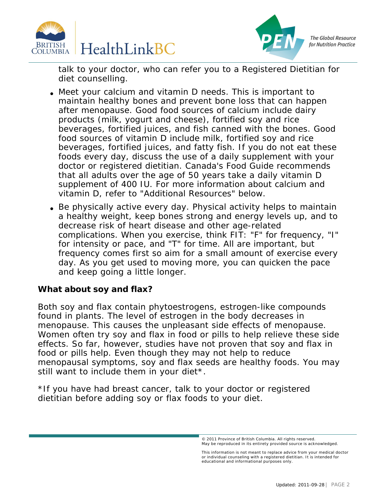



**The Global Resource** for Nutrition Practice

talk to your doctor, who can refer you to a Registered Dietitian for diet counselling.

- Meet your calcium and vitamin D needs. This is important to maintain healthy bones and prevent bone loss that can happen after menopause. Good food sources of calcium include dairy products (milk, yogurt and cheese), fortified soy and rice beverages, fortified juices, and fish canned with the bones. Good food sources of vitamin D include milk, fortified soy and rice beverages, fortified juices, and fatty fish. If you do not eat these foods every day, discuss the use of a daily supplement with your doctor or registered dietitian. Canada's Food Guide recommends that all adults over the age of 50 years take a daily vitamin D supplement of 400 IU. For more information about calcium and vitamin D, refer to "Additional Resources" below.
- Be physically active every day. Physical activity helps to maintain a healthy weight, keep bones strong and energy levels up, and to decrease risk of heart disease and other age-related complications. When you exercise, think FIT: "F" for frequency, "I" for intensity or pace, and "T" for time. All are important, but frequency comes first so aim for a small amount of exercise every day. As you get used to moving more, you can quicken the pace and keep going a little longer.

**What about soy and flax?**

Both soy and flax contain phytoestrogens, estrogen-like compounds found in plants. The level of estrogen in the body decreases in menopause. This causes the unpleasant side effects of menopause. Women often try soy and flax in food or pills to help relieve these side effects. So far, however, studies have not proven that soy and flax in food or pills help. Even though they may not help to reduce menopausal symptoms, soy and flax seeds are healthy foods. You may still want to include them in your diet\*.

\*If you have had breast cancer, talk to your doctor or registered dietitian before adding soy or flax foods to your diet.

<sup>© 2011</sup> Province of British Columbia. All rights reserved. May be reproduced in its entirety provided source is acknowledged.<br>.

This information is not meant to replace advice from your medical doctor<br>or individual counseling with a registered dietitian. It is intended for educational and informational purposes only.